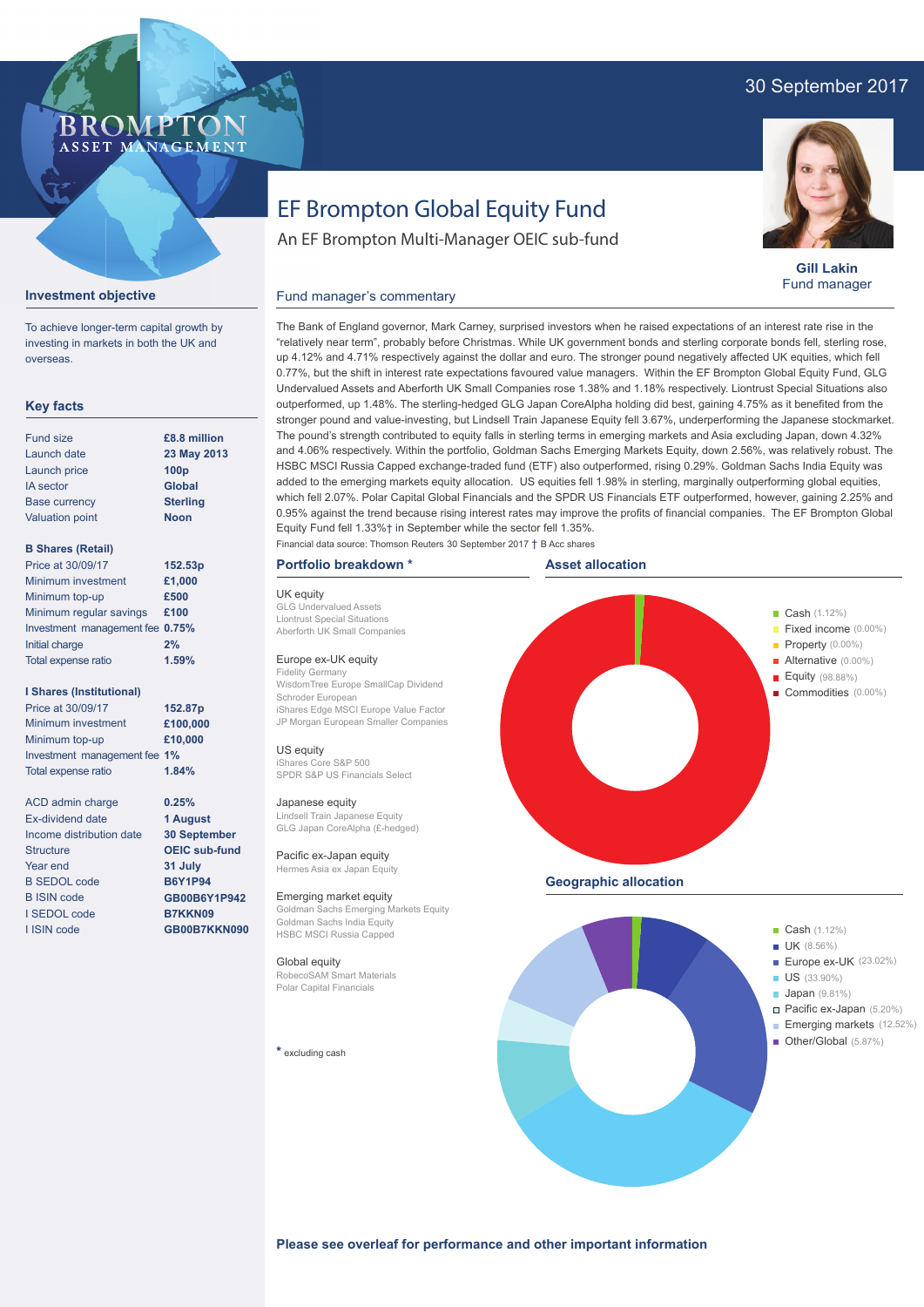### 30 September 2017



# EF Brompton Global Equity Fund

**Gill Lakin**

#### Fund manager's commentary



Fund manager

investing in markets in both the UK and overseas. **Key facts**

To achieve longer-term capital growth by

**Investment objective**

| Fund size              | £8.8 million     |
|------------------------|------------------|
| Launch date            | 23 May 2013      |
| Launch price           | 100 <sub>p</sub> |
| <b>IA</b> sector       | <b>Global</b>    |
| <b>Base currency</b>   | <b>Sterling</b>  |
| <b>Valuation point</b> | <b>Noon</b>      |
|                        |                  |

#### **B Shares (Retail)**

| Price at 30/09/17               | 152.53p |
|---------------------------------|---------|
| Minimum investment              | £1,000  |
| Minimum top-up                  | £500    |
| Minimum regular savings         | £100    |
| Investment management fee 0.75% |         |
| Initial charge                  | 2%      |
| Total expense ratio             | 1.59%   |

#### **I Shares (Institutional)**

Minimum investment Minimum top-up Investment management fee **1%** Total expense ratio **£100,000 £10,000** Price at 30/09/17 **152.87p 1.84%**

> **0.25% 1 August 30 September OEIC sub-fund 31 July B6Y1P94 GB00B6Y1P942 B7KKN09 GB00B7KKN090**

ACD admin charge Ex-dividend date Income distribution date **Structure** Year end B SEDOL code B ISIN code I SEDOL code I ISIN code

"relatively near term", probably before Christmas. While UK government bonds and sterling corporate bonds fell, sterling rose, up 4.12% and 4.71% respectively against the dollar and euro. The stronger pound negatively affected UK equities, which fell 0.77%, but the shift in interest rate expectations favoured value managers. Within the EF Brompton Global Equity Fund, GLG Undervalued Assets and Aberforth UK Small Companies rose 1.38% and 1.18% respectively. Liontrust Special Situations also outperformed, up 1.48%. The sterling-hedged GLG Japan CoreAlpha holding did best, gaining 4.75% as it benefited from the stronger pound and value-investing, but Lindsell Train Japanese Equity fell 3.67%, underperforming the Japanese stockmarket. The pound's strength contributed to equity falls in sterling terms in emerging markets and Asia excluding Japan, down 4.32% and 4.06% respectively. Within the portfolio, Goldman Sachs Emerging Markets Equity, down 2.56%, was relatively robust. The HSBC MSCI Russia Capped exchange-traded fund (ETF) also outperformed, rising 0.29%. Goldman Sachs India Equity was added to the emerging markets equity allocation. US equities fell 1.98% in sterling, marginally outperforming global equities, which fell 2.07%. Polar Capital Global Financials and the SPDR US Financials ETF outperformed, however, gaining 2.25% and 0.95% against the trend because rising interest rates may improve the profits of financial companies. The EF Brompton Global Equity Fund fell 1.33%† in September while the sector fell 1.35%.

The Bank of England governor, Mark Carney, surprised investors when he raised expectations of an interest rate rise in the

Financial data source: Thomson Reuters 30 September 2017 † B Acc shares

An EF Brompton Multi-Manager OEIC sub-fund